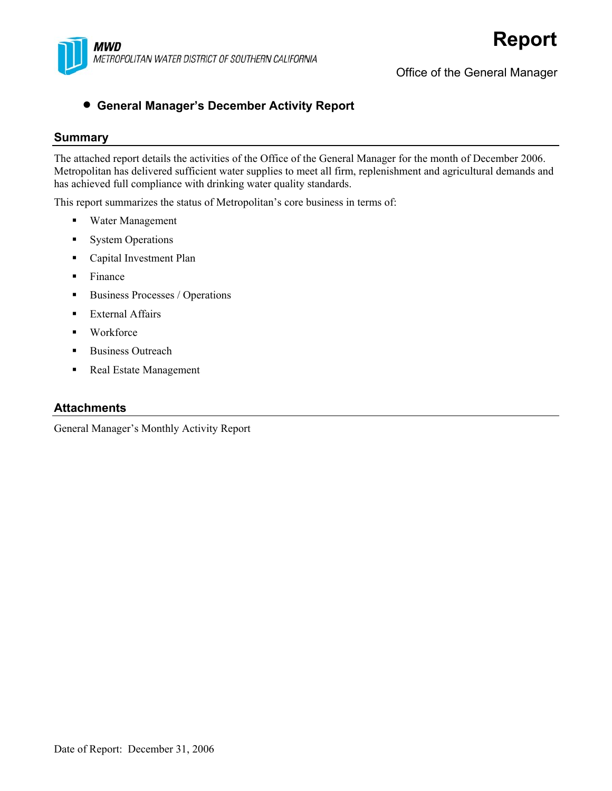

Office of the General Manager

#### • **General Manager's December Activity Report**

#### **Summary**

The attached report details the activities of the Office of the General Manager for the month of December 2006. Metropolitan has delivered sufficient water supplies to meet all firm, replenishment and agricultural demands and has achieved full compliance with drinking water quality standards.

This report summarizes the status of Metropolitan's core business in terms of:

- Water Management
- **System Operations**
- **Capital Investment Plan**
- $\blacksquare$  Finance
- Business Processes / Operations
- **External Affairs**
- Workforce
- **Business Outreach**
- Real Estate Management

#### **Attachments**

General Manager's Monthly Activity Report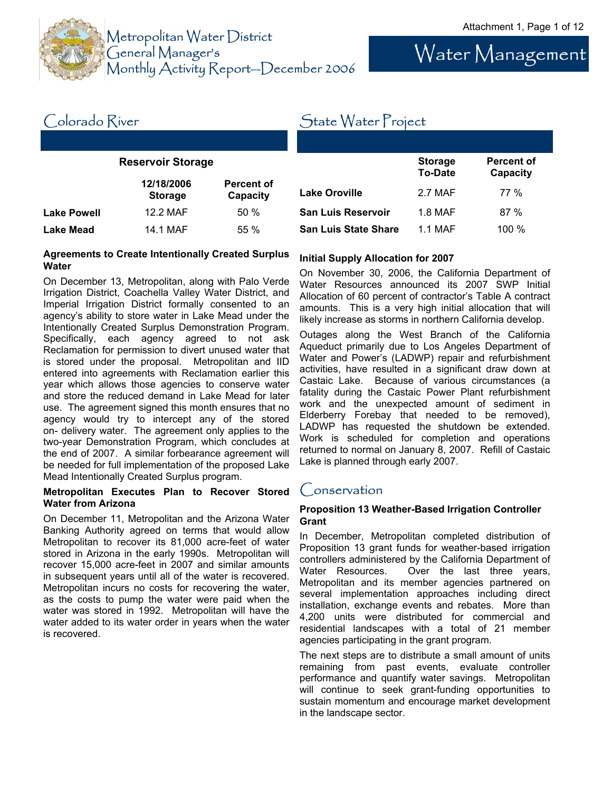

Water Management

#### **Reservoir Storage**  Colorado River **12/18/2006 Storage Percent of Capacity Lake Powell 12.2 MAF** 50 % **Lake Mead 14.1 MAF** 55 % State Water Project **Storage To-Date Percent of Capacity**  Lake Oroville **2.7 MAF** 77 % **San Luis Reservoir** 1.8 MAF 87 % **San Luis State Share** 1.1 MAF 100 %

#### **Agreements to Create Intentionally Created Surplus Water**

On December 13, Metropolitan, along with Palo Verde Irrigation District, Coachella Valley Water District, and Imperial Irrigation District formally consented to an agency's ability to store water in Lake Mead under the Intentionally Created Surplus Demonstration Program. Specifically, each agency agreed to not ask Reclamation for permission to divert unused water that is stored under the proposal. Metropolitan and IID entered into agreements with Reclamation earlier this year which allows those agencies to conserve water and store the reduced demand in Lake Mead for later use. The agreement signed this month ensures that no agency would try to intercept any of the stored on- delivery water. The agreement only applies to the two-year Demonstration Program, which concludes at the end of 2007. A similar forbearance agreement will be needed for full implementation of the proposed Lake Mead Intentionally Created Surplus program.

#### **Metropolitan Executes Plan to Recover Stored Water from Arizona**

On December 11, Metropolitan and the Arizona Water Banking Authority agreed on terms that would allow Metropolitan to recover its 81,000 acre-feet of water stored in Arizona in the early 1990s. Metropolitan will recover 15,000 acre-feet in 2007 and similar amounts in subsequent years until all of the water is recovered. Metropolitan incurs no costs for recovering the water, as the costs to pump the water were paid when the water was stored in 1992. Metropolitan will have the water added to its water order in years when the water is recovered.

#### **Initial Supply Allocation for 2007**

On November 30, 2006, the California Department of Water Resources announced its 2007 SWP Initial Allocation of 60 percent of contractor's Table A contract amounts. This is a very high initial allocation that will likely increase as storms in northern California develop.

Outages along the West Branch of the California Aqueduct primarily due to Los Angeles Department of Water and Power's (LADWP) repair and refurbishment activities, have resulted in a significant draw down at Castaic Lake. Because of various circumstances (a fatality during the Castaic Power Plant refurbishment work and the unexpected amount of sediment in Elderberry Forebay that needed to be removed), LADWP has requested the shutdown be extended. Work is scheduled for completion and operations returned to normal on January 8, 2007. Refill of Castaic Lake is planned through early 2007.

#### Conservation

#### **Proposition 13 Weather-Based Irrigation Controller Grant**

In December, Metropolitan completed distribution of Proposition 13 grant funds for weather-based irrigation controllers administered by the California Department of Water Resources. Over the last three years, Metropolitan and its member agencies partnered on several implementation approaches including direct installation, exchange events and rebates. More than 4,200 units were distributed for commercial and residential landscapes with a total of 21 member agencies participating in the grant program.

The next steps are to distribute a small amount of units remaining from past events, evaluate controller performance and quantify water savings. Metropolitan will continue to seek grant-funding opportunities to sustain momentum and encourage market development in the landscape sector.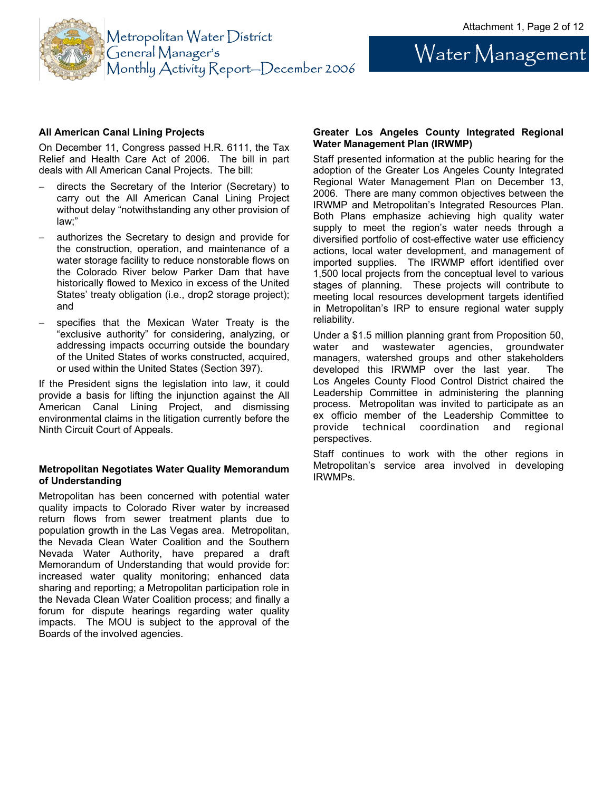Water Management



#### **All American Canal Lining Projects**

On December 11, Congress passed H.R. 6111, the Tax Relief and Health Care Act of 2006. The bill in part deals with All American Canal Projects. The bill:

- − directs the Secretary of the Interior (Secretary) to carry out the All American Canal Lining Project without delay "notwithstanding any other provision of law;"
- authorizes the Secretary to design and provide for the construction, operation, and maintenance of a water storage facility to reduce nonstorable flows on the Colorado River below Parker Dam that have historically flowed to Mexico in excess of the United States' treaty obligation (i.e., drop2 storage project); and
- specifies that the Mexican Water Treaty is the "exclusive authority" for considering, analyzing, or addressing impacts occurring outside the boundary of the United States of works constructed, acquired, or used within the United States (Section 397).

If the President signs the legislation into law, it could provide a basis for lifting the injunction against the All American Canal Lining Project, and dismissing environmental claims in the litigation currently before the Ninth Circuit Court of Appeals.

#### **Metropolitan Negotiates Water Quality Memorandum of Understanding**

Metropolitan has been concerned with potential water quality impacts to Colorado River water by increased return flows from sewer treatment plants due to population growth in the Las Vegas area. Metropolitan, the Nevada Clean Water Coalition and the Southern Nevada Water Authority, have prepared a draft Memorandum of Understanding that would provide for: increased water quality monitoring; enhanced data sharing and reporting; a Metropolitan participation role in the Nevada Clean Water Coalition process; and finally a forum for dispute hearings regarding water quality impacts. The MOU is subject to the approval of the Boards of the involved agencies.

#### **Greater Los Angeles County Integrated Regional Water Management Plan (IRWMP)**

Staff presented information at the public hearing for the adoption of the Greater Los Angeles County Integrated Regional Water Management Plan on December 13, 2006. There are many common objectives between the IRWMP and Metropolitan's Integrated Resources Plan. Both Plans emphasize achieving high quality water supply to meet the region's water needs through a diversified portfolio of cost-effective water use efficiency actions, local water development, and management of imported supplies. The IRWMP effort identified over 1,500 local projects from the conceptual level to various stages of planning. These projects will contribute to meeting local resources development targets identified in Metropolitan's IRP to ensure regional water supply reliability.

Under a \$1.5 million planning grant from Proposition 50, water and wastewater agencies, groundwater managers, watershed groups and other stakeholders developed this IRWMP over the last year. The Los Angeles County Flood Control District chaired the Leadership Committee in administering the planning process. Metropolitan was invited to participate as an ex officio member of the Leadership Committee to provide technical coordination and regional perspectives.

Staff continues to work with the other regions in Metropolitan's service area involved in developing IRWMPs.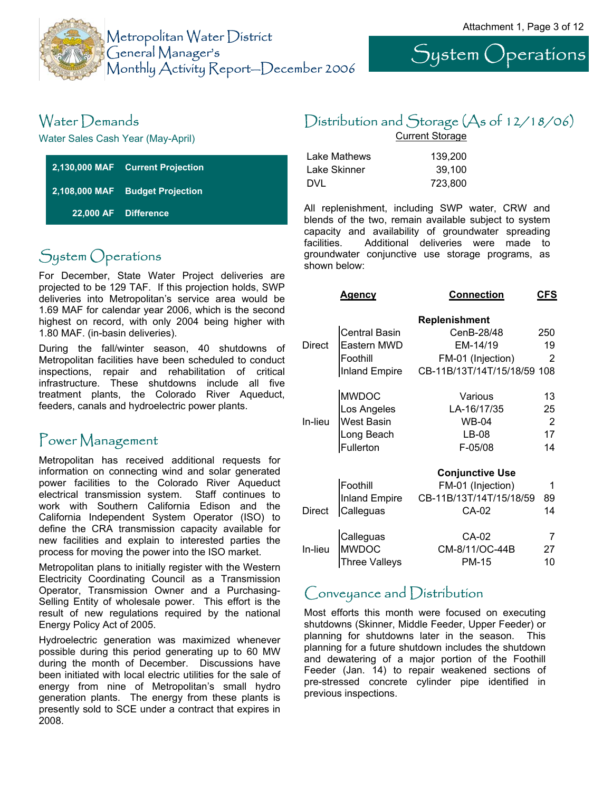



## Water Demands

Water Sales Cash Year (May-April)

|  | 2,130,000 MAF Current Projection |
|--|----------------------------------|
|  | 2,108,000 MAF Budget Projection  |
|  | 22,000 AF Difference             |

# System Operations

For December, State Water Project deliveries are projected to be 129 TAF. If this projection holds, SWP deliveries into Metropolitan's service area would be 1.69 MAF for calendar year 2006, which is the second highest on record, with only 2004 being higher with 1.80 MAF. (in-basin deliveries).

During the fall/winter season, 40 shutdowns of Metropolitan facilities have been scheduled to conduct inspections, repair and rehabilitation of critical infrastructure. These shutdowns include all five treatment plants, the Colorado River Aqueduct, feeders, canals and hydroelectric power plants.

## Power Management

Metropolitan has received additional requests for information on connecting wind and solar generated power facilities to the Colorado River Aqueduct electrical transmission system. Staff continues to work with Southern California Edison and the California Independent System Operator (ISO) to define the CRA transmission capacity available for new facilities and explain to interested parties the process for moving the power into the ISO market.

Metropolitan plans to initially register with the Western Electricity Coordinating Council as a Transmission Operator, Transmission Owner and a Purchasing-Selling Entity of wholesale power. This effort is the result of new regulations required by the national Energy Policy Act of 2005.

Hydroelectric generation was maximized whenever possible during this period generating up to 60 MW during the month of December. Discussions have been initiated with local electric utilities for the sale of energy from nine of Metropolitan's small hydro generation plants. The energy from these plants is presently sold to SCE under a contract that expires in 2008.

# Distribution and Storage (As of 12/18/06)

Current Storage

| Lake Mathews | 139.200 |
|--------------|---------|
| Lake Skinner | 39.100  |
| DVL          | 723,800 |

All replenishment, including SWP water, CRW and blends of the two, remain available subject to system capacity and availability of groundwater spreading facilities. Additional deliveries were made to groundwater conjunctive use storage programs, as shown below:

|         | Agency               | <b>Connection</b>           | CFS            |
|---------|----------------------|-----------------------------|----------------|
|         |                      | <b>Replenishment</b>        |                |
|         | <b>Central Basin</b> | CenB-28/48                  | 250            |
| Direct  | Eastern MWD          | EM-14/19                    | 19             |
|         | Foothill             | FM-01 (Injection)           | 2              |
|         | <b>Inland Empire</b> | CB-11B/13T/14T/15/18/59 108 |                |
|         | <b>MWDOC</b>         | Various                     | 13             |
|         | Los Angeles          | LA-16/17/35                 | 25             |
| In-lieu | <b>West Basin</b>    | WB-04                       | $\overline{2}$ |
|         | Long Beach           | LB-08                       | 17             |
|         | Fullerton            | F-05/08                     | 14             |
|         |                      |                             |                |
|         |                      | <b>Conjunctive Use</b>      |                |
|         | Foothill             | FM-01 (Injection)           | 1              |
|         | <b>Inland Empire</b> | CB-11B/13T/14T/15/18/59     | 89             |
| Direct  | Calleguas            | CA-02                       | 14             |
|         | Calleguas            | CA-02                       |                |
| In-lieu | <b>MWDOC</b>         | CM-8/11/OC-44B              | 27             |
|         | Three Valleys        | PM-15                       | 10             |
|         |                      |                             |                |

### Conveyance and Distribution

Most efforts this month were focused on executing shutdowns (Skinner, Middle Feeder, Upper Feeder) or planning for shutdowns later in the season. This planning for a future shutdown includes the shutdown and dewatering of a major portion of the Foothill Feeder (Jan. 14) to repair weakened sections of pre-stressed concrete cylinder pipe identified in previous inspections.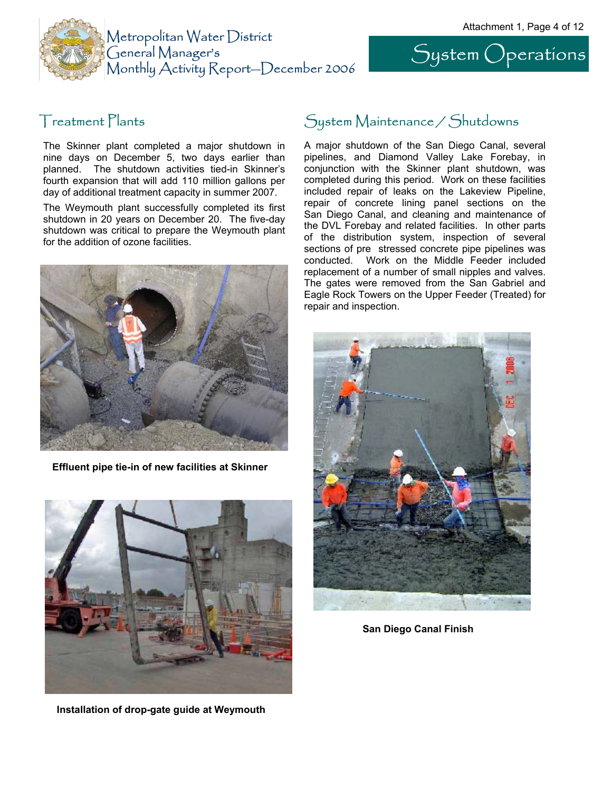System Operations



#### Treatment Plants

The Skinner plant completed a major shutdown in nine days on December 5, two days earlier than planned. The shutdown activities tied-in Skinner's fourth expansion that will add 110 million gallons per day of additional treatment capacity in summer 2007.

The Weymouth plant successfully completed its first shutdown in 20 years on December 20. The five-day shutdown was critical to prepare the Weymouth plant for the addition of ozone facilities.



**Effluent pipe tie-in of new facilities at Skinner** 



**Installation of drop-gate guide at Weymouth** 

# System Maintenance / Shutdowns

A major shutdown of the San Diego Canal, several pipelines, and Diamond Valley Lake Forebay, in conjunction with the Skinner plant shutdown, was completed during this period. Work on these facilities included repair of leaks on the Lakeview Pipeline, repair of concrete lining panel sections on the San Diego Canal, and cleaning and maintenance of the DVL Forebay and related facilities. In other parts of the distribution system, inspection of several sections of pre stressed concrete pipe pipelines was conducted. Work on the Middle Feeder included replacement of a number of small nipples and valves. The gates were removed from the San Gabriel and Eagle Rock Towers on the Upper Feeder (Treated) for repair and inspection.



**San Diego Canal Finish**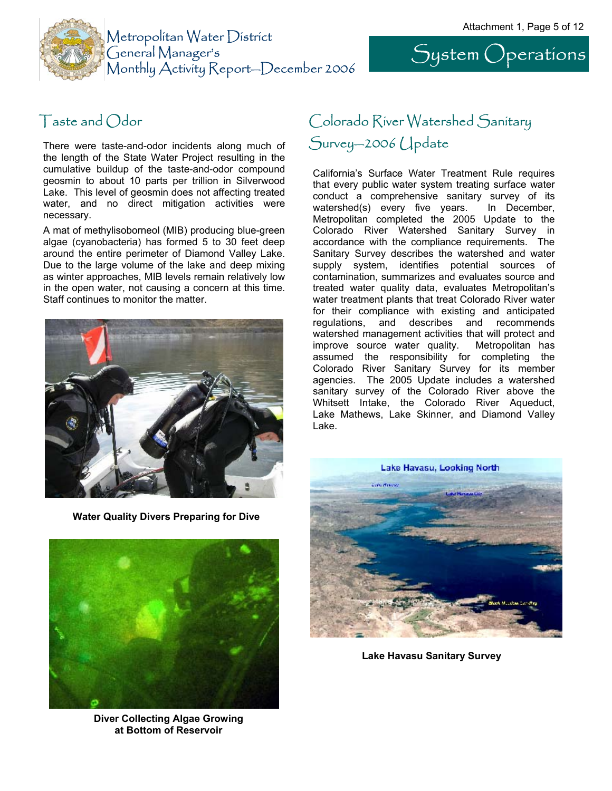System Operations



There were taste-and-odor incidents along much of the length of the State Water Project resulting in the cumulative buildup of the taste-and-odor compound geosmin to about 10 parts per trillion in Silverwood Lake. This level of geosmin does not affecting treated water, and no direct mitigation activities were necessary.

A mat of methylisoborneol (MIB) producing blue-green algae (cyanobacteria) has formed 5 to 30 feet deep around the entire perimeter of Diamond Valley Lake. Due to the large volume of the lake and deep mixing as winter approaches, MIB levels remain relatively low in the open water, not causing a concern at this time. Staff continues to monitor the matter.



**Water Quality Divers Preparing for Dive** 



**Diver Collecting Algae Growing at Bottom of Reservoir** 

# Taste and Odor **Colorado River Watershed Sanitary** Survey—2006 Update

California's Surface Water Treatment Rule requires that every public water system treating surface water conduct a comprehensive sanitary survey of its watershed(s) every five years. In December, Metropolitan completed the 2005 Update to the Colorado River Watershed Sanitary Survey in accordance with the compliance requirements. The Sanitary Survey describes the watershed and water supply system, identifies potential sources of contamination, summarizes and evaluates source and treated water quality data, evaluates Metropolitan's water treatment plants that treat Colorado River water for their compliance with existing and anticipated regulations, and describes and recommends watershed management activities that will protect and improve source water quality. Metropolitan has assumed the responsibility for completing the Colorado River Sanitary Survey for its member agencies. The 2005 Update includes a watershed sanitary survey of the Colorado River above the Whitsett Intake, the Colorado River Aqueduct, Lake Mathews, Lake Skinner, and Diamond Valley Lake.



**Lake Havasu Sanitary Survey**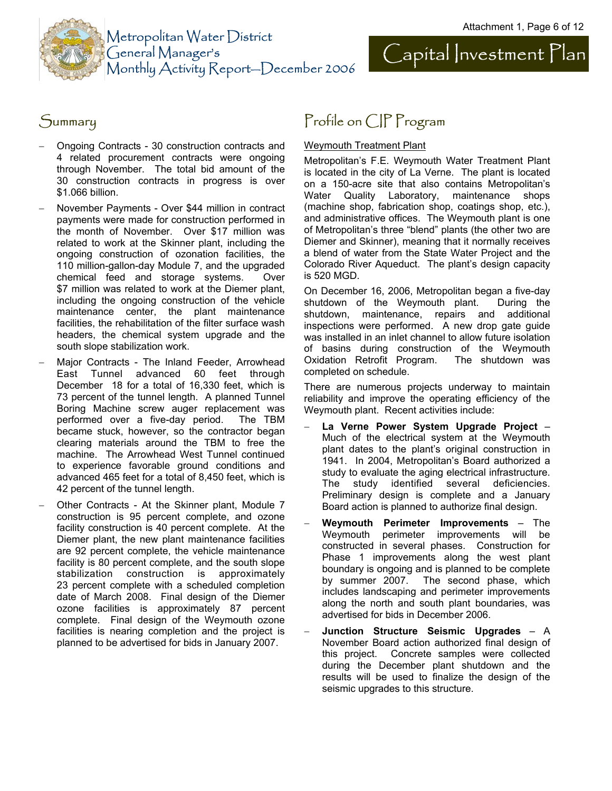



- − Ongoing Contracts 30 construction contracts and 4 related procurement contracts were ongoing through November. The total bid amount of the 30 construction contracts in progress is over \$1.066 billion.
- − November Payments Over \$44 million in contract payments were made for construction performed in the month of November. Over \$17 million was related to work at the Skinner plant, including the ongoing construction of ozonation facilities, the 110 million-gallon-day Module 7, and the upgraded chemical feed and storage systems. Over \$7 million was related to work at the Diemer plant, including the ongoing construction of the vehicle maintenance center, the plant maintenance facilities, the rehabilitation of the filter surface wash headers, the chemical system upgrade and the south slope stabilization work.
- Major Contracts The Inland Feeder, Arrowhead East Tunnel advanced 60 feet through December 18 for a total of 16,330 feet, which is 73 percent of the tunnel length. A planned Tunnel Boring Machine screw auger replacement was performed over a five-day period. The TBM became stuck, however, so the contractor began clearing materials around the TBM to free the machine. The Arrowhead West Tunnel continued to experience favorable ground conditions and advanced 465 feet for a total of 8,450 feet, which is 42 percent of the tunnel length.
- − Other Contracts At the Skinner plant, Module 7 construction is 95 percent complete, and ozone facility construction is 40 percent complete. At the Diemer plant, the new plant maintenance facilities are 92 percent complete, the vehicle maintenance facility is 80 percent complete, and the south slope stabilization construction is approximately 23 percent complete with a scheduled completion date of March 2008. Final design of the Diemer ozone facilities is approximately 87 percent complete. Final design of the Weymouth ozone facilities is nearing completion and the project is planned to be advertised for bids in January 2007.

# Summary Profile on CIP Program

#### Weymouth Treatment Plant

Metropolitan's F.E. Weymouth Water Treatment Plant is located in the city of La Verne. The plant is located on a 150-acre site that also contains Metropolitan's Water Quality Laboratory, maintenance shops (machine shop, fabrication shop, coatings shop, etc.), and administrative offices. The Weymouth plant is one of Metropolitan's three "blend" plants (the other two are Diemer and Skinner), meaning that it normally receives a blend of water from the State Water Project and the Colorado River Aqueduct. The plant's design capacity is 520 MGD.

On December 16, 2006, Metropolitan began a five-day shutdown of the Weymouth plant. During the shutdown, maintenance, repairs and additional inspections were performed. A new drop gate guide was installed in an inlet channel to allow future isolation of basins during construction of the Weymouth Oxidation Retrofit Program. The shutdown was completed on schedule.

There are numerous projects underway to maintain reliability and improve the operating efficiency of the Weymouth plant. Recent activities include:

- − **La Verne Power System Upgrade Project**  Much of the electrical system at the Weymouth plant dates to the plant's original construction in 1941. In 2004, Metropolitan's Board authorized a study to evaluate the aging electrical infrastructure. The study identified several deficiencies. Preliminary design is complete and a January Board action is planned to authorize final design.
- − **Weymouth Perimeter Improvements** The Weymouth perimeter improvements will be constructed in several phases. Construction for Phase 1 improvements along the west plant boundary is ongoing and is planned to be complete by summer 2007. The second phase, which includes landscaping and perimeter improvements along the north and south plant boundaries, was advertised for bids in December 2006.
- − **Junction Structure Seismic Upgrades** A November Board action authorized final design of this project. Concrete samples were collected during the December plant shutdown and the results will be used to finalize the design of the seismic upgrades to this structure.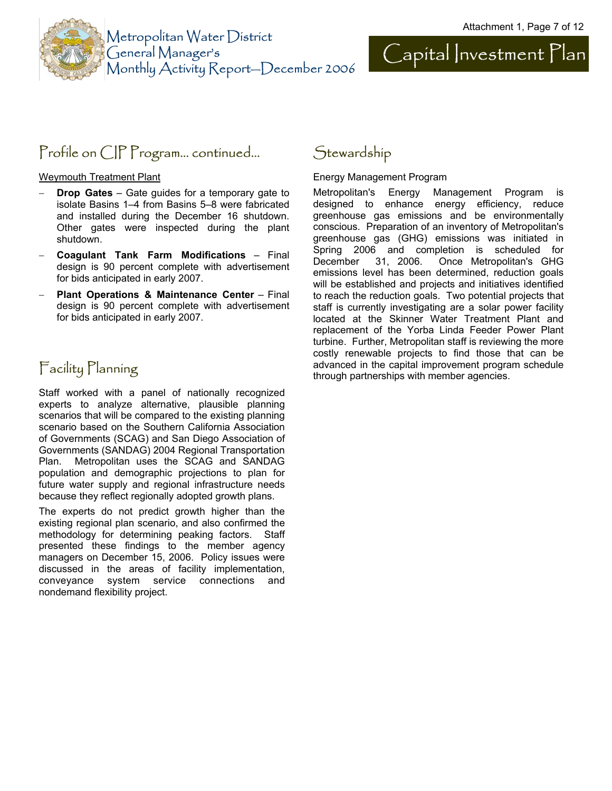



## Profile on CIP Program... continued...

Weymouth Treatment Plant

- − **Drop Gates** Gate guides for a temporary gate to isolate Basins 1–4 from Basins 5–8 were fabricated and installed during the December 16 shutdown. Other gates were inspected during the plant shutdown.
- − **Coagulant Tank Farm Modifications** Final design is 90 percent complete with advertisement for bids anticipated in early 2007.
- − **Plant Operations & Maintenance Center** Final design is 90 percent complete with advertisement for bids anticipated in early 2007.

## Facility Planning

Staff worked with a panel of nationally recognized experts to analyze alternative, plausible planning scenarios that will be compared to the existing planning scenario based on the Southern California Association of Governments (SCAG) and San Diego Association of Governments (SANDAG) 2004 Regional Transportation Plan. Metropolitan uses the SCAG and SANDAG population and demographic projections to plan for future water supply and regional infrastructure needs because they reflect regionally adopted growth plans.

The experts do not predict growth higher than the existing regional plan scenario, and also confirmed the methodology for determining peaking factors. Staff presented these findings to the member agency managers on December 15, 2006. Policy issues were discussed in the areas of facility implementation, conveyance system service connections and nondemand flexibility project.

## **Stewardship**

Energy Management Program

Metropolitan's Energy Management Program is designed to enhance energy efficiency, reduce greenhouse gas emissions and be environmentally conscious. Preparation of an inventory of Metropolitan's greenhouse gas (GHG) emissions was initiated in Spring 2006 and completion is scheduled for December 31, 2006. Once Metropolitan's GHG emissions level has been determined, reduction goals will be established and projects and initiatives identified to reach the reduction goals. Two potential projects that staff is currently investigating are a solar power facility located at the Skinner Water Treatment Plant and replacement of the Yorba Linda Feeder Power Plant turbine. Further, Metropolitan staff is reviewing the more costly renewable projects to find those that can be advanced in the capital improvement program schedule through partnerships with member agencies.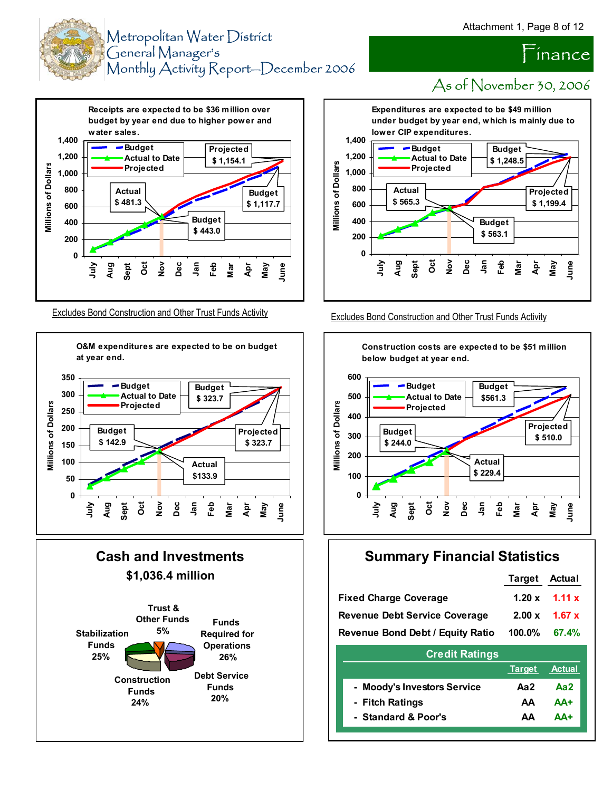inance



As of November 30, 2006







#### Excludes Bond Construction and Other Trust Funds Activity Excludes Bond Construction and Other Trust Funds Activity



### **Summary Financial Statistics**

|                                               | <b>Target Actual</b> |                           |
|-----------------------------------------------|----------------------|---------------------------|
| <b>Fixed Charge Coverage</b>                  |                      | $1.20 \times 1.11 \times$ |
| <b>Revenue Debt Service Coverage</b>          |                      | $2.00 \times 1.67 \times$ |
| Revenue Bond Debt / Equity Ratio 100.0% 67.4% |                      |                           |

| <b>Credit Ratings</b>       |     |                      |  |  |  |
|-----------------------------|-----|----------------------|--|--|--|
|                             |     | <b>Target Actual</b> |  |  |  |
| - Moody's Investors Service | Aa2 | Aa2                  |  |  |  |
| - Fitch Ratings             | AΑ  | AA+                  |  |  |  |
| - Standard & Poor's         | ΔΔ  | <b>ΔΔ+</b>           |  |  |  |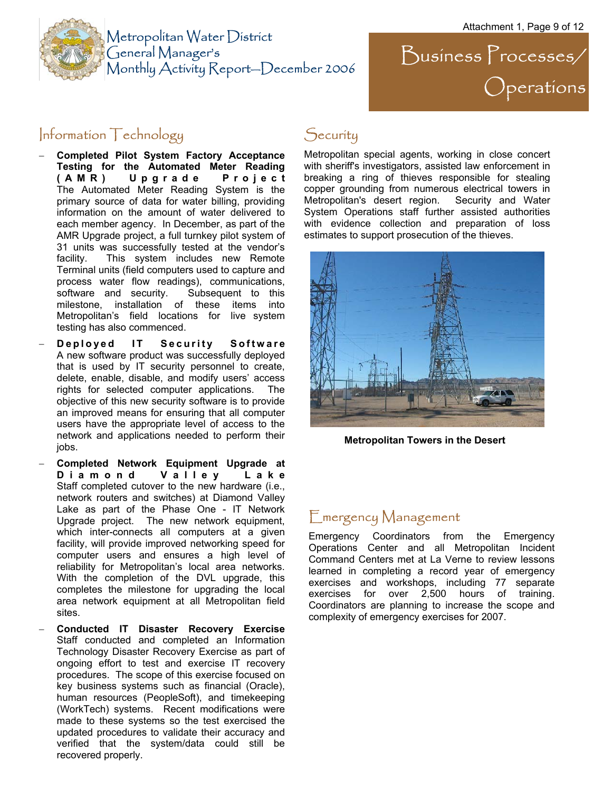

Metropolitan Water District General Manager's Monthly Activity Report—December 2006

 $\sum$ usiness  $\sum$ rocesses/ Operations

#### $Information Technology$  Security

- − **Completed Pilot System Factory Acceptance Testing for the Automated Meter Reading (AMR) Upgrade Project** The Automated Meter Reading System is the primary source of data for water billing, providing information on the amount of water delivered to each member agency. In December, as part of the AMR Upgrade project, a full turnkey pilot system of 31 units was successfully tested at the vendor's facility. This system includes new Remote Terminal units (field computers used to capture and process water flow readings), communications, software and security. Subsequent to this milestone, installation of these items into Metropolitan's field locations for live system testing has also commenced.
- − **Deployed IT Security Software** A new software product was successfully deployed that is used by IT security personnel to create, delete, enable, disable, and modify users' access rights for selected computer applications. The objective of this new security software is to provide an improved means for ensuring that all computer users have the appropriate level of access to the network and applications needed to perform their jobs.
- − **Completed Network Equipment Upgrade at D i a m o n d V a l l e y L a k e**  Staff completed cutover to the new hardware (i.e., network routers and switches) at Diamond Valley Lake as part of the Phase One - IT Network Upgrade project. The new network equipment, which inter-connects all computers at a given facility, will provide improved networking speed for computer users and ensures a high level of reliability for Metropolitan's local area networks. With the completion of the DVL upgrade, this completes the milestone for upgrading the local area network equipment at all Metropolitan field sites.
- − **Conducted IT Disaster Recovery Exercise** Staff conducted and completed an Information Technology Disaster Recovery Exercise as part of ongoing effort to test and exercise IT recovery procedures. The scope of this exercise focused on key business systems such as financial (Oracle), human resources (PeopleSoft), and timekeeping (WorkTech) systems. Recent modifications were made to these systems so the test exercised the updated procedures to validate their accuracy and verified that the system/data could still be recovered properly.

Metropolitan special agents, working in close concert with sheriff's investigators, assisted law enforcement in breaking a ring of thieves responsible for stealing copper grounding from numerous electrical towers in Metropolitan's desert region. Security and Water System Operations staff further assisted authorities with evidence collection and preparation of loss estimates to support prosecution of the thieves.



**Metropolitan Towers in the Desert** 

### Emergency Management

Emergency Coordinators from the Emergency Operations Center and all Metropolitan Incident Command Centers met at La Verne to review lessons learned in completing a record year of emergency exercises and workshops, including 77 separate exercises for over 2,500 hours of training. Coordinators are planning to increase the scope and complexity of emergency exercises for 2007.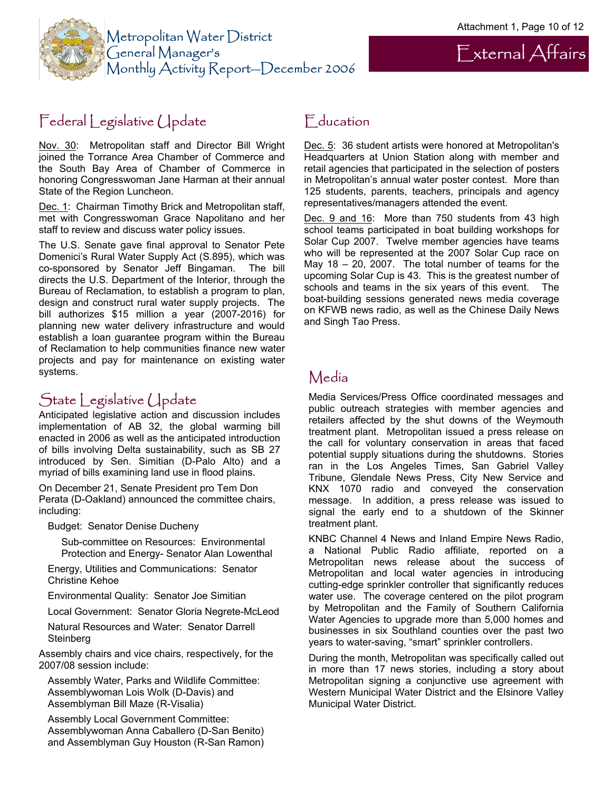External Affairs



## Federal Legislative Update

Nov. 30: Metropolitan staff and Director Bill Wright joined the Torrance Area Chamber of Commerce and the South Bay Area of Chamber of Commerce in honoring Congresswoman Jane Harman at their annual State of the Region Luncheon.

Dec. 1: Chairman Timothy Brick and Metropolitan staff, met with Congresswoman Grace Napolitano and her staff to review and discuss water policy issues.

The U.S. Senate gave final approval to Senator Pete Domenici's Rural Water Supply Act (S.895), which was co-sponsored by Senator Jeff Bingaman. The bill directs the U.S. Department of the Interior, through the Bureau of Reclamation, to establish a program to plan, design and construct rural water supply projects. The bill authorizes \$15 million a year (2007-2016) for planning new water delivery infrastructure and would establish a loan guarantee program within the Bureau of Reclamation to help communities finance new water projects and pay for maintenance on existing water systems.

## State Legislative Update

Anticipated legislative action and discussion includes implementation of AB 32, the global warming bill enacted in 2006 as well as the anticipated introduction of bills involving Delta sustainability, such as SB 27 introduced by Sen. Simitian (D-Palo Alto) and a myriad of bills examining land use in flood plains.

On December 21, Senate President pro Tem Don Perata (D-Oakland) announced the committee chairs, including:

Budget: Senator Denise Ducheny

Sub-committee on Resources: Environmental Protection and Energy- Senator Alan Lowenthal

Energy, Utilities and Communications: Senator Christine Kehoe

Environmental Quality: Senator Joe Simitian

Local Government: Senator Gloria Negrete-McLeod

Natural Resources and Water: Senator Darrell **Steinberg** 

Assembly chairs and vice chairs, respectively, for the 2007/08 session include:

Assembly Water, Parks and Wildlife Committee: Assemblywoman Lois Wolk (D-Davis) and Assemblyman Bill Maze (R-Visalia)

Assembly Local Government Committee: Assemblywoman Anna Caballero (D-San Benito) and Assemblyman Guy Houston (R-San Ramon)

#### Education

Dec. 5: 36 student artists were honored at Metropolitan's Headquarters at Union Station along with member and retail agencies that participated in the selection of posters in Metropolitan's annual water poster contest. More than 125 students, parents, teachers, principals and agency representatives/managers attended the event.

Dec. 9 and 16: More than 750 students from 43 high school teams participated in boat building workshops for Solar Cup 2007. Twelve member agencies have teams who will be represented at the 2007 Solar Cup race on May 18 – 20, 2007. The total number of teams for the upcoming Solar Cup is 43. This is the greatest number of schools and teams in the six years of this event. The boat-building sessions generated news media coverage on KFWB news radio, as well as the Chinese Daily News and Singh Tao Press.

## Media

Media Services/Press Office coordinated messages and public outreach strategies with member agencies and retailers affected by the shut downs of the Weymouth treatment plant. Metropolitan issued a press release on the call for voluntary conservation in areas that faced potential supply situations during the shutdowns. Stories ran in the Los Angeles Times, San Gabriel Valley Tribune, Glendale News Press, City New Service and KNX 1070 radio and conveyed the conservation message. In addition, a press release was issued to signal the early end to a shutdown of the Skinner treatment plant.

KNBC Channel 4 News and Inland Empire News Radio, a National Public Radio affiliate, reported on a Metropolitan news release about the success of Metropolitan and local water agencies in introducing cutting-edge sprinkler controller that significantly reduces water use. The coverage centered on the pilot program by Metropolitan and the Family of Southern California Water Agencies to upgrade more than 5,000 homes and businesses in six Southland counties over the past two years to water-saving, "smart" sprinkler controllers.

During the month, Metropolitan was specifically called out in more than 17 news stories, including a story about Metropolitan signing a conjunctive use agreement with Western Municipal Water District and the Elsinore Valley Municipal Water District.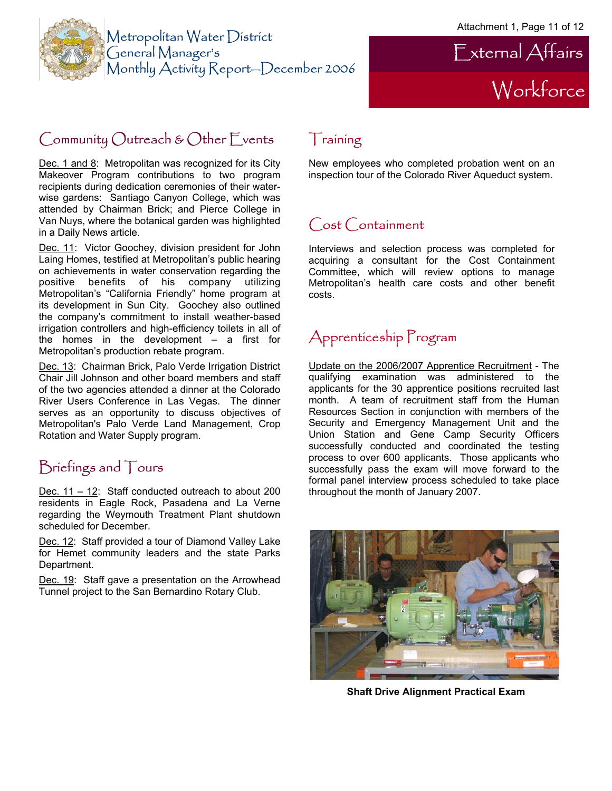



# Community Outreach & Other Events

Dec. 1 and 8: Metropolitan was recognized for its City Makeover Program contributions to two program recipients during dedication ceremonies of their waterwise gardens: Santiago Canyon College, which was attended by Chairman Brick; and Pierce College in Van Nuys, where the botanical garden was highlighted in a Daily News article.

Dec. 11: Victor Goochey, division president for John Laing Homes, testified at Metropolitan's public hearing on achievements in water conservation regarding the positive benefits of his company utilizing Metropolitan's "California Friendly" home program at its development in Sun City. Goochey also outlined the company's commitment to install weather-based irrigation controllers and high-efficiency toilets in all of the homes in the development – a first for Metropolitan's production rebate program.

Dec. 13: Chairman Brick, Palo Verde Irrigation District Chair Jill Johnson and other board members and staff of the two agencies attended a dinner at the Colorado River Users Conference in Las Vegas. The dinner serves as an opportunity to discuss objectives of Metropolitan's Palo Verde Land Management, Crop Rotation and Water Supply program.

## Briefings and Tours

Dec. 11 – 12: Staff conducted outreach to about 200 residents in Eagle Rock, Pasadena and La Verne regarding the Weymouth Treatment Plant shutdown scheduled for December.

Dec. 12: Staff provided a tour of Diamond Valley Lake for Hemet community leaders and the state Parks Department.

Dec. 19: Staff gave a presentation on the Arrowhead Tunnel project to the San Bernardino Rotary Club.

#### Training

New employees who completed probation went on an inspection tour of the Colorado River Aqueduct system.

## Cost Containment

Interviews and selection process was completed for acquiring a consultant for the Cost Containment Committee, which will review options to manage Metropolitan's health care costs and other benefit costs.

# Apprenticeship Program

Update on the 2006/2007 Apprentice Recruitment - The qualifying examination was administered to the applicants for the 30 apprentice positions recruited last month. A team of recruitment staff from the Human Resources Section in conjunction with members of the Security and Emergency Management Unit and the Union Station and Gene Camp Security Officers successfully conducted and coordinated the testing process to over 600 applicants. Those applicants who successfully pass the exam will move forward to the formal panel interview process scheduled to take place throughout the month of January 2007.



**Shaft Drive Alignment Practical Exam**